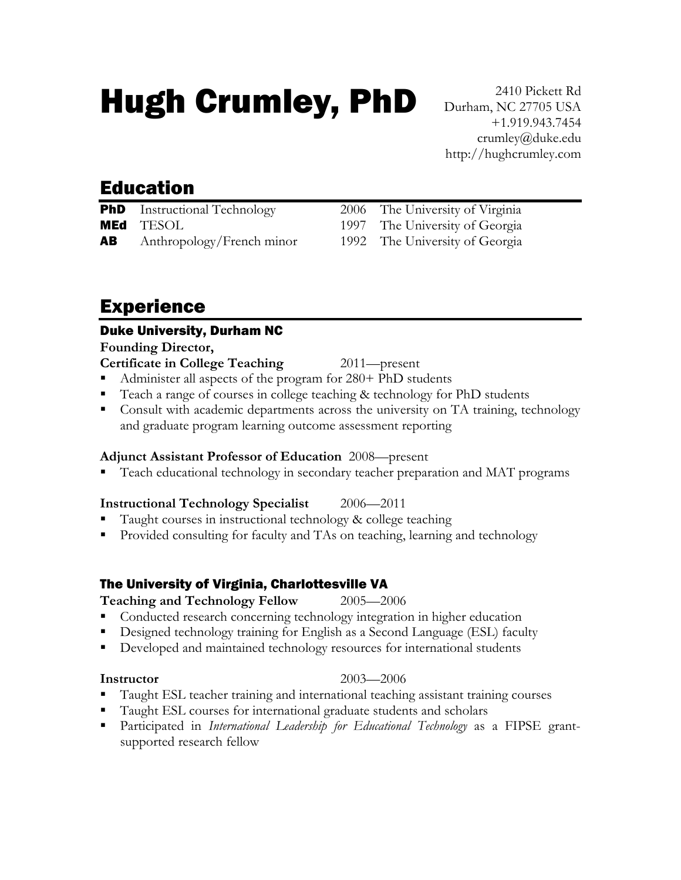# Hugh Crumley, PhD

2410 Pickett Rd Durham, NC 27705 USA +1.919.943.7454 crumley@duke.edu http://hughcrumley.com

## Education

| <b>PhD</b> Instructional Technology |
|-------------------------------------|
| <b>MEd</b> TESOL                    |
| <b>AB</b> Anthropology/French minor |

2006 The University of Virginia 1997 The University of Georgia 1992 The University of Georgia

## Experience

### Duke University, Durham NC

### **Founding Director,**

- **Certificate in College Teaching** 2011—present
- Administer all aspects of the program for 280+ PhD students
- Teach a range of courses in college teaching & technology for PhD students
- Consult with academic departments across the university on TA training, technology and graduate program learning outcome assessment reporting

### **Adjunct Assistant Professor of Education** 2008—present

- **Teach educational technology in secondary teacher preparation and MAT programs**
- **Instructional Technology Specialist** 2006—2011
- Taught courses in instructional technology & college teaching
- Provided consulting for faculty and TAs on teaching, learning and technology

### The University of Virginia, Charlottesville VA

### **Teaching and Technology Fellow** 2005—2006

- Conducted research concerning technology integration in higher education
- Designed technology training for English as a Second Language (ESL) faculty
- Developed and maintained technology resources for international students

### **Instructor** 2003—2006

- Taught ESL teacher training and international teaching assistant training courses
- Taught ESL courses for international graduate students and scholars
- Participated in *International Leadership for Educational Technology* as a FIPSE grantsupported research fellow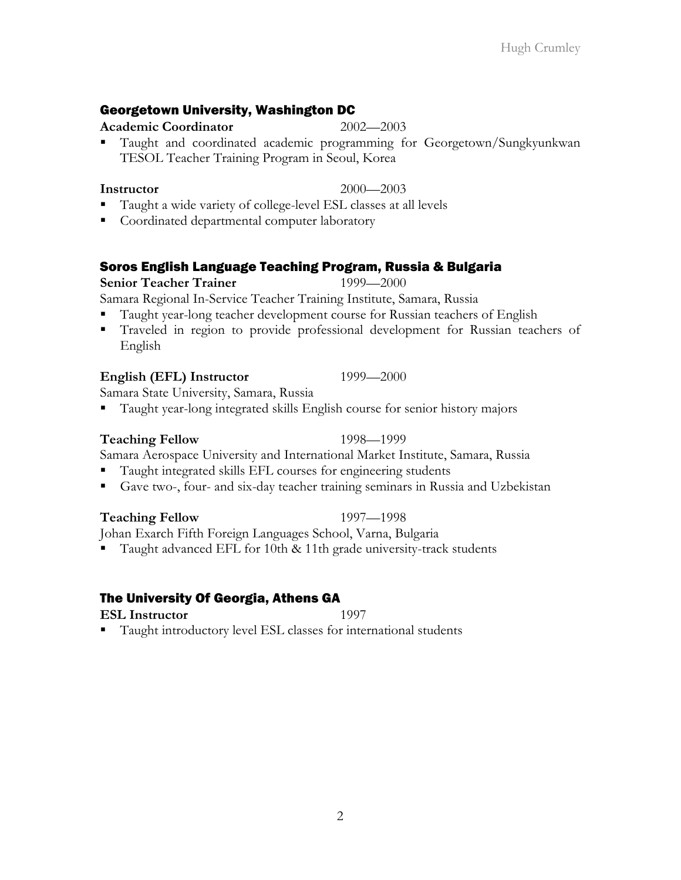### Georgetown University, Washington DC

### **Academic Coordinator** 2002—2003

 Taught and coordinated academic programming for Georgetown/Sungkyunkwan TESOL Teacher Training Program in Seoul, Korea

- Taught a wide variety of college-level ESL classes at all levels
- Coordinated departmental computer laboratory

### Soros English Language Teaching Program, Russia & Bulgaria

### **Senior Teacher Trainer** 1999—2000

Samara Regional In-Service Teacher Training Institute, Samara, Russia

- Taught year-long teacher development course for Russian teachers of English
- Traveled in region to provide professional development for Russian teachers of English

### **English (EFL) Instructor** 1999—2000

Samara State University, Samara, Russia

Taught year-long integrated skills English course for senior history majors

### **Teaching Fellow** 1998—1999

Samara Aerospace University and International Market Institute, Samara, Russia

- Taught integrated skills EFL courses for engineering students
- Gave two-, four- and six-day teacher training seminars in Russia and Uzbekistan

### **Teaching Fellow** 1997—1998

Johan Exarch Fifth Foreign Languages School, Varna, Bulgaria

Taught advanced EFL for 10th & 11th grade university-track students

### The University Of Georgia, Athens GA

### **ESL Instructor** 1997

Taught introductory level ESL classes for international students

**Instructor** 2000—2003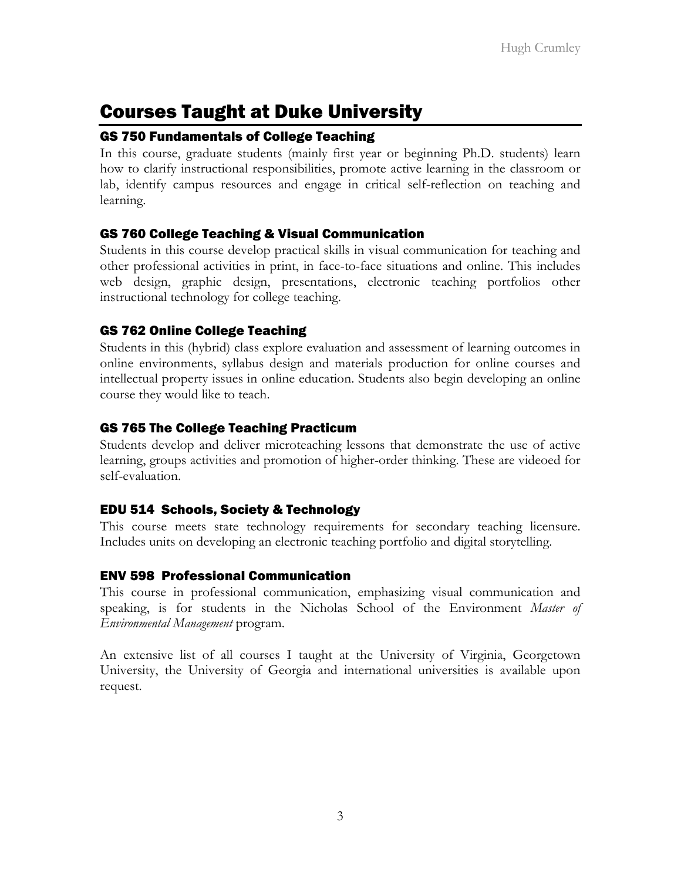## Courses Taught at Duke University

### GS 750 Fundamentals of College Teaching

In this course, graduate students (mainly first year or beginning Ph.D. students) learn how to clarify instructional responsibilities, promote active learning in the classroom or lab, identify campus resources and engage in critical self-reflection on teaching and learning.

### GS 760 College Teaching & Visual Communication

Students in this course develop practical skills in visual communication for teaching and other professional activities in print, in face-to-face situations and online. This includes web design, graphic design, presentations, electronic teaching portfolios other instructional technology for college teaching.

### GS 762 Online College Teaching

Students in this (hybrid) class explore evaluation and assessment of learning outcomes in online environments, syllabus design and materials production for online courses and intellectual property issues in online education. Students also begin developing an online course they would like to teach.

### GS 765 The College Teaching Practicum

Students develop and deliver microteaching lessons that demonstrate the use of active learning, groups activities and promotion of higher-order thinking. These are videoed for self-evaluation.

### EDU 514 Schools, Society & Technology

This course meets state technology requirements for secondary teaching licensure. Includes units on developing an electronic teaching portfolio and digital storytelling.

### ENV 598 Professional Communication

This course in professional communication, emphasizing visual communication and speaking, is for students in the Nicholas School of the Environment *Master of Environmental Management* program.

An extensive list of all courses I taught at the University of Virginia, Georgetown University, the University of Georgia and international universities is available upon request.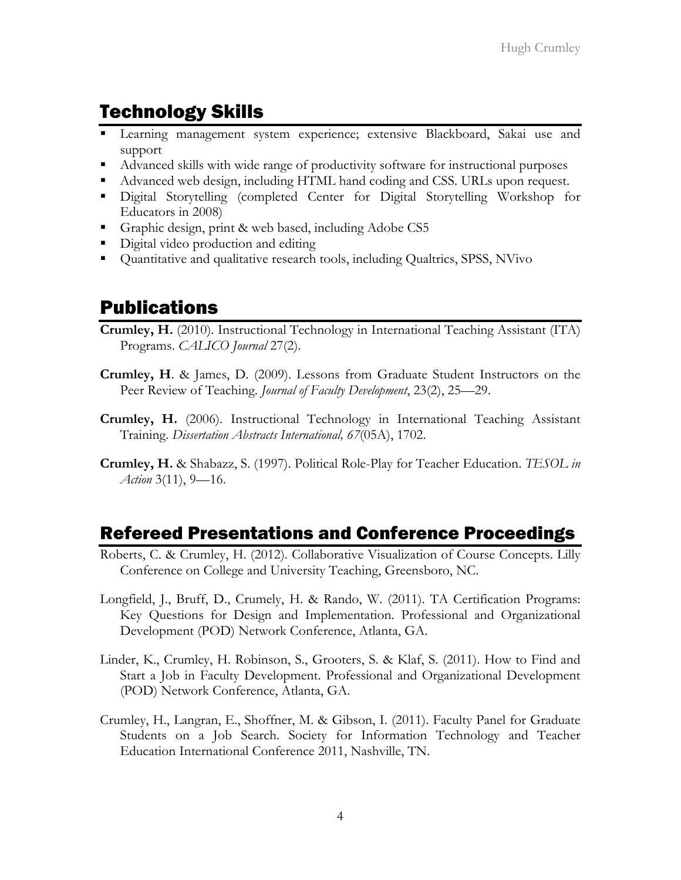## Technology Skills

- Learning management system experience; extensive Blackboard, Sakai use and support
- Advanced skills with wide range of productivity software for instructional purposes
- Advanced web design, including HTML hand coding and CSS. URLs upon request.
- Digital Storytelling (completed Center for Digital Storytelling Workshop for Educators in 2008)
- Graphic design, print & web based, including Adobe CS5
- Digital video production and editing
- Quantitative and qualitative research tools, including Qualtrics, SPSS, NVivo

## Publications

- **Crumley, H.** (2010). Instructional Technology in International Teaching Assistant (ITA) Programs. *CALICO Journal* 27(2).
- **Crumley, H**. & James, D. (2009). Lessons from Graduate Student Instructors on the Peer Review of Teaching. *Journal of Faculty Development*, 23(2), 25—29.
- **Crumley, H.** (2006). Instructional Technology in International Teaching Assistant Training. *Dissertation Abstracts International, 67*(05A), 1702.
- **Crumley, H.** & Shabazz, S. (1997). Political Role-Play for Teacher Education. *TESOL in Action* 3(11), 9—16.

## Refereed Presentations and Conference Proceedings

- Roberts, C. & Crumley, H. (2012). Collaborative Visualization of Course Concepts. Lilly Conference on College and University Teaching, Greensboro, NC.
- Longfield, J., Bruff, D., Crumely, H. & Rando, W. (2011). TA Certification Programs: Key Questions for Design and Implementation. Professional and Organizational Development (POD) Network Conference, Atlanta, GA.
- Linder, K., Crumley, H. Robinson, S., Grooters, S. & Klaf, S. (2011). How to Find and Start a Job in Faculty Development. Professional and Organizational Development (POD) Network Conference, Atlanta, GA.
- Crumley, H., Langran, E., Shoffner, M. & Gibson, I. (2011). Faculty Panel for Graduate Students on a Job Search. Society for Information Technology and Teacher Education International Conference 2011, Nashville, TN.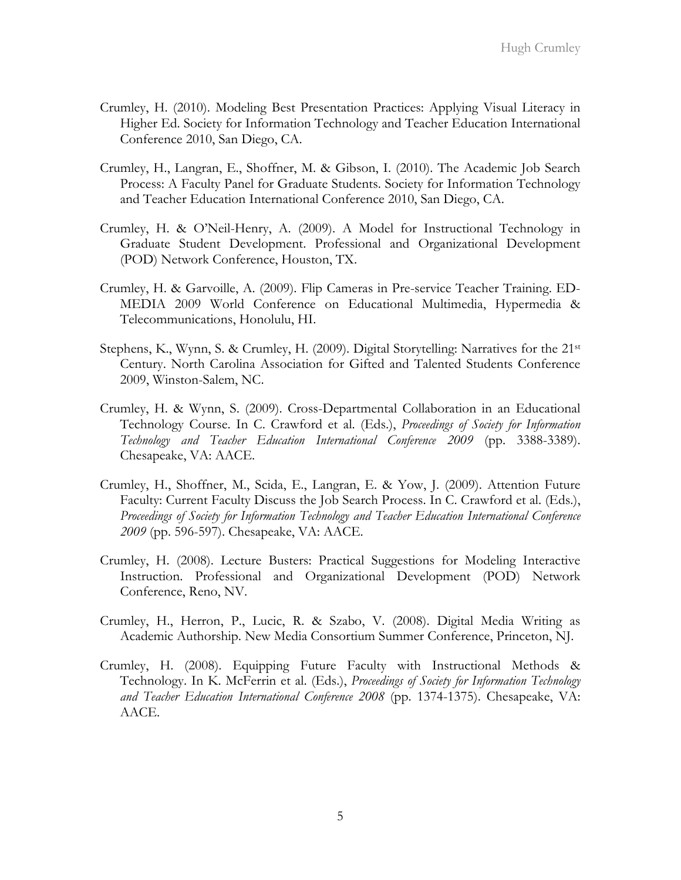- Crumley, H. (2010). Modeling Best Presentation Practices: Applying Visual Literacy in Higher Ed. Society for Information Technology and Teacher Education International Conference 2010, San Diego, CA.
- Crumley, H., Langran, E., Shoffner, M. & Gibson, I. (2010). The Academic Job Search Process: A Faculty Panel for Graduate Students. Society for Information Technology and Teacher Education International Conference 2010, San Diego, CA.
- Crumley, H. & O'Neil-Henry, A. (2009). A Model for Instructional Technology in Graduate Student Development. Professional and Organizational Development (POD) Network Conference, Houston, TX.
- Crumley, H. & Garvoille, A. (2009). Flip Cameras in Pre-service Teacher Training. ED-MEDIA 2009 World Conference on Educational Multimedia, Hypermedia & Telecommunications, Honolulu, HI.
- Stephens, K., Wynn, S. & Crumley, H. (2009). Digital Storytelling: Narratives for the 21st Century. North Carolina Association for Gifted and Talented Students Conference 2009, Winston-Salem, NC.
- Crumley, H. & Wynn, S. (2009). Cross-Departmental Collaboration in an Educational Technology Course. In C. Crawford et al. (Eds.), *Proceedings of Society for Information Technology and Teacher Education International Conference 2009* (pp. 3388-3389). Chesapeake, VA: AACE.
- Crumley, H., Shoffner, M., Scida, E., Langran, E. & Yow, J. (2009). Attention Future Faculty: Current Faculty Discuss the Job Search Process. In C. Crawford et al. (Eds.), *Proceedings of Society for Information Technology and Teacher Education International Conference 2009* (pp. 596-597). Chesapeake, VA: AACE.
- Crumley, H. (2008). Lecture Busters: Practical Suggestions for Modeling Interactive Instruction. Professional and Organizational Development (POD) Network Conference, Reno, NV.
- Crumley, H., Herron, P., Lucic, R. & Szabo, V. (2008). Digital Media Writing as Academic Authorship. New Media Consortium Summer Conference, Princeton, NJ.
- Crumley, H. (2008). Equipping Future Faculty with Instructional Methods & Technology. In K. McFerrin et al. (Eds.), *Proceedings of Society for Information Technology and Teacher Education International Conference 2008* (pp. 1374-1375). Chesapeake, VA: AACE.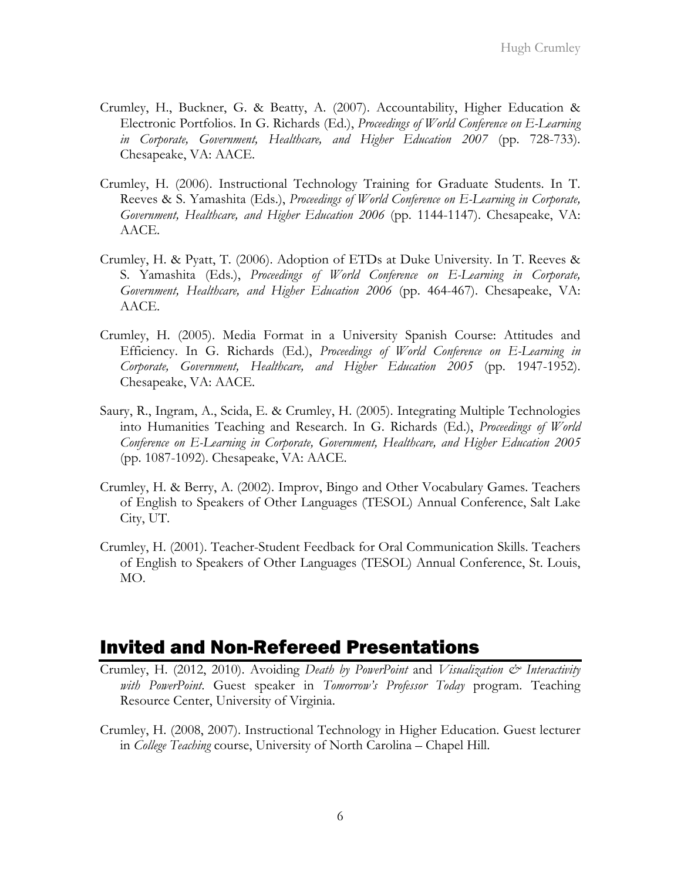- Crumley, H., Buckner, G. & Beatty, A. (2007). Accountability, Higher Education & Electronic Portfolios. In G. Richards (Ed.), *Proceedings of World Conference on E-Learning in Corporate, Government, Healthcare, and Higher Education 2007* (pp. 728-733). Chesapeake, VA: AACE.
- Crumley, H. (2006). Instructional Technology Training for Graduate Students. In T. Reeves & S. Yamashita (Eds.), *Proceedings of World Conference on E-Learning in Corporate, Government, Healthcare, and Higher Education 2006* (pp. 1144-1147). Chesapeake, VA: AACE.
- Crumley, H. & Pyatt, T. (2006). Adoption of ETDs at Duke University. In T. Reeves & S. Yamashita (Eds.), *Proceedings of World Conference on E-Learning in Corporate, Government, Healthcare, and Higher Education 2006* (pp. 464-467). Chesapeake, VA: AACE.
- Crumley, H. (2005). Media Format in a University Spanish Course: Attitudes and Efficiency. In G. Richards (Ed.), *Proceedings of World Conference on E-Learning in Corporate, Government, Healthcare, and Higher Education 2005* (pp. 1947-1952). Chesapeake, VA: AACE.
- Saury, R., Ingram, A., Scida, E. & Crumley, H. (2005). Integrating Multiple Technologies into Humanities Teaching and Research. In G. Richards (Ed.), *Proceedings of World Conference on E-Learning in Corporate, Government, Healthcare, and Higher Education 2005* (pp. 1087-1092). Chesapeake, VA: AACE.
- Crumley, H. & Berry, A. (2002). Improv, Bingo and Other Vocabulary Games. Teachers of English to Speakers of Other Languages (TESOL) Annual Conference, Salt Lake City, UT.
- Crumley, H. (2001). Teacher-Student Feedback for Oral Communication Skills. Teachers of English to Speakers of Other Languages (TESOL) Annual Conference, St. Louis, MO.

### Invited and Non-Refereed Presentations

- Crumley, H. (2012, 2010). Avoiding *Death by PowerPoint* and *Visualization & Interactivity with PowerPoint*. Guest speaker in *Tomorrow's Professor Today* program. Teaching Resource Center, University of Virginia.
- Crumley, H. (2008, 2007). Instructional Technology in Higher Education. Guest lecturer in *College Teaching* course, University of North Carolina – Chapel Hill.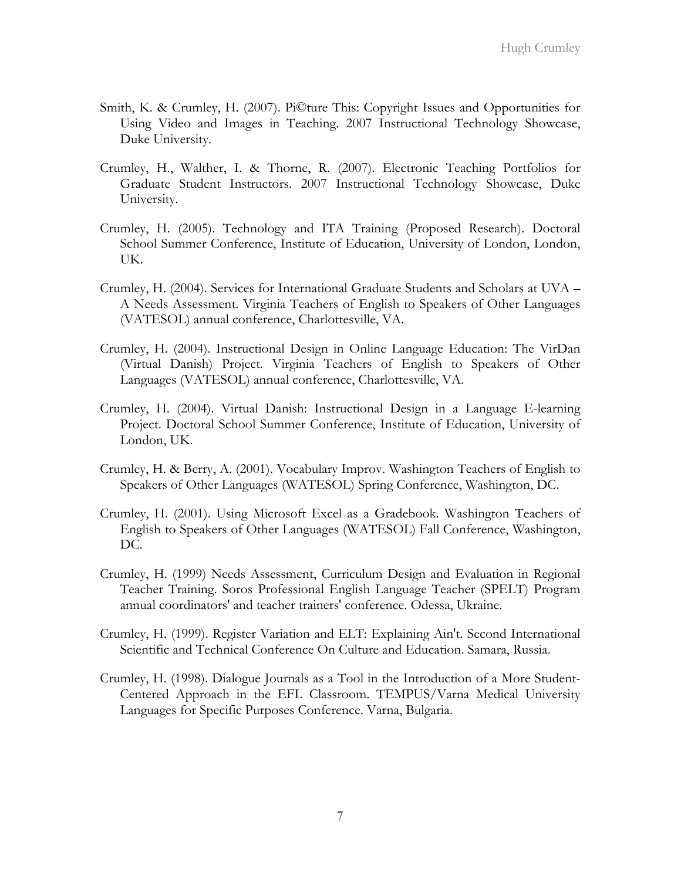- Smith, K. & Crumley, H. (2007). Pi©ture This: Copyright Issues and Opportunities for Using Video and Images in Teaching. 2007 Instructional Technology Showcase, Duke University.
- Crumley, H., Walther, I. & Thorne, R. (2007). Electronic Teaching Portfolios for Graduate Student Instructors. 2007 Instructional Technology Showcase, Duke University.
- Crumley, H. (2005). Technology and ITA Training (Proposed Research). Doctoral School Summer Conference, Institute of Education, University of London, London, UK.
- Crumley, H. (2004). Services for International Graduate Students and Scholars at UVA A Needs Assessment. Virginia Teachers of English to Speakers of Other Languages (VATESOL) annual conference, Charlottesville, VA.
- Crumley, H. (2004). Instructional Design in Online Language Education: The VirDan (Virtual Danish) Project. Virginia Teachers of English to Speakers of Other Languages (VATESOL) annual conference, Charlottesville, VA.
- Crumley, H. (2004). Virtual Danish: Instructional Design in a Language E-learning Project. Doctoral School Summer Conference, Institute of Education, University of London, UK.
- Crumley, H. & Berry, A. (2001). Vocabulary Improv. Washington Teachers of English to Speakers of Other Languages (WATESOL) Spring Conference, Washington, DC.
- Crumley, H. (2001). Using Microsoft Excel as a Gradebook. Washington Teachers of English to Speakers of Other Languages (WATESOL) Fall Conference, Washington, DC.
- Crumley, H. (1999) Needs Assessment, Curriculum Design and Evaluation in Regional Teacher Training. Soros Professional English Language Teacher (SPELT) Program annual coordinators' and teacher trainers' conference. Odessa, Ukraine.
- Crumley, H. (1999). Register Variation and ELT: Explaining Ain't. Second International Scientific and Technical Conference On Culture and Education. Samara, Russia.
- Crumley, H. (1998). Dialogue Journals as a Tool in the Introduction of a More Student-Centered Approach in the EFL Classroom. TEMPUS/Varna Medical University Languages for Specific Purposes Conference. Varna, Bulgaria.